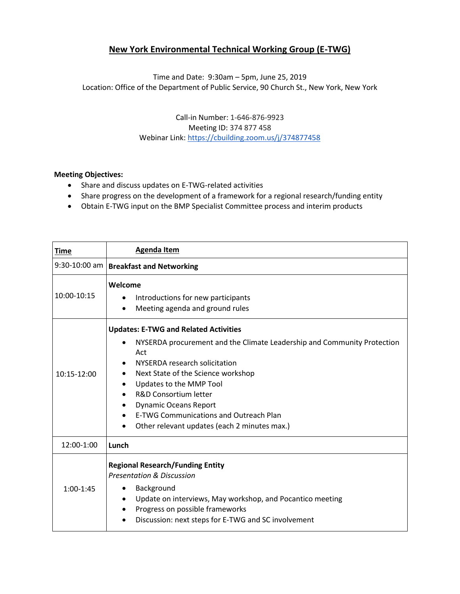## **New York Environmental Technical Working Group (E-TWG)**

Time and Date: 9:30am – 5pm, June 25, 2019 Location: Office of the Department of Public Service, 90 Church St., New York, New York

> Call‐in Number: 1-646-876-9923 Meeting ID: 374 877 458 Webinar Link[: https://cbuilding.zoom.us/j/374877458](https://cbuilding.zoom.us/j/374877458)

## **Meeting Objectives:**

- Share and discuss updates on E-TWG-related activities
- Share progress on the development of a framework for a regional research/funding entity
- Obtain E-TWG input on the BMP Specialist Committee process and interim products

| <b>Time</b>   | <b>Agenda Item</b>                                                                                                                                                                                                                                                                                                                                                                                                                     |
|---------------|----------------------------------------------------------------------------------------------------------------------------------------------------------------------------------------------------------------------------------------------------------------------------------------------------------------------------------------------------------------------------------------------------------------------------------------|
| 9:30-10:00 am | <b>Breakfast and Networking</b>                                                                                                                                                                                                                                                                                                                                                                                                        |
| 10:00-10:15   | Welcome<br>Introductions for new participants<br>$\bullet$<br>Meeting agenda and ground rules<br>$\bullet$                                                                                                                                                                                                                                                                                                                             |
| $10:15-12:00$ | <b>Updates: E-TWG and Related Activities</b><br>NYSERDA procurement and the Climate Leadership and Community Protection<br>Act<br>NYSERDA research solicitation<br>Next State of the Science workshop<br>$\bullet$<br>Updates to the MMP Tool<br>R&D Consortium letter<br>$\bullet$<br><b>Dynamic Oceans Report</b><br>٠<br><b>E-TWG Communications and Outreach Plan</b><br>$\bullet$<br>Other relevant updates (each 2 minutes max.) |
| 12:00-1:00    | Lunch                                                                                                                                                                                                                                                                                                                                                                                                                                  |
| $1:00-1:45$   | <b>Regional Research/Funding Entity</b><br><b>Presentation &amp; Discussion</b><br>Background<br>Update on interviews, May workshop, and Pocantico meeting<br>$\bullet$<br>Progress on possible frameworks<br>$\bullet$<br>Discussion: next steps for E-TWG and SC involvement<br>٠                                                                                                                                                    |